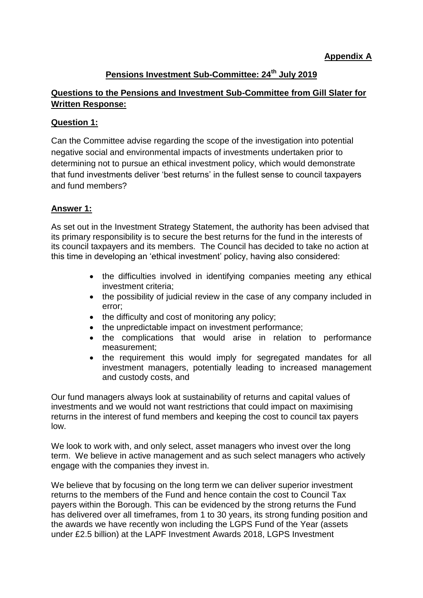# **Pensions Investment Sub-Committee: 24th July 2019**

### **Questions to the Pensions and Investment Sub-Committee from Gill Slater for Written Response:**

#### **Question 1:**

Can the Committee advise regarding the scope of the investigation into potential negative social and environmental impacts of investments undertaken prior to determining not to pursue an ethical investment policy, which would demonstrate that fund investments deliver 'best returns' in the fullest sense to council taxpayers and fund members?

### **Answer 1:**

As set out in the Investment Strategy Statement, the authority has been advised that its primary responsibility is to secure the best returns for the fund in the interests of its council taxpayers and its members. The Council has decided to take no action at this time in developing an 'ethical investment' policy, having also considered:

- the difficulties involved in identifying companies meeting any ethical investment criteria;
- the possibility of judicial review in the case of any company included in error;
- the difficulty and cost of monitoring any policy;
- the unpredictable impact on investment performance;
- the complications that would arise in relation to performance measurement;
- the requirement this would imply for segregated mandates for all investment managers, potentially leading to increased management and custody costs, and

Our fund managers always look at sustainability of returns and capital values of investments and we would not want restrictions that could impact on maximising returns in the interest of fund members and keeping the cost to council tax payers low.

We look to work with, and only select, asset managers who invest over the long term. We believe in active management and as such select managers who actively engage with the companies they invest in.

We believe that by focusing on the long term we can deliver superior investment returns to the members of the Fund and hence contain the cost to Council Tax payers within the Borough. This can be evidenced by the strong returns the Fund has delivered over all timeframes, from 1 to 30 years, its strong funding position and the awards we have recently won including the LGPS Fund of the Year (assets under £2.5 billion) at the LAPF Investment Awards 2018, LGPS Investment